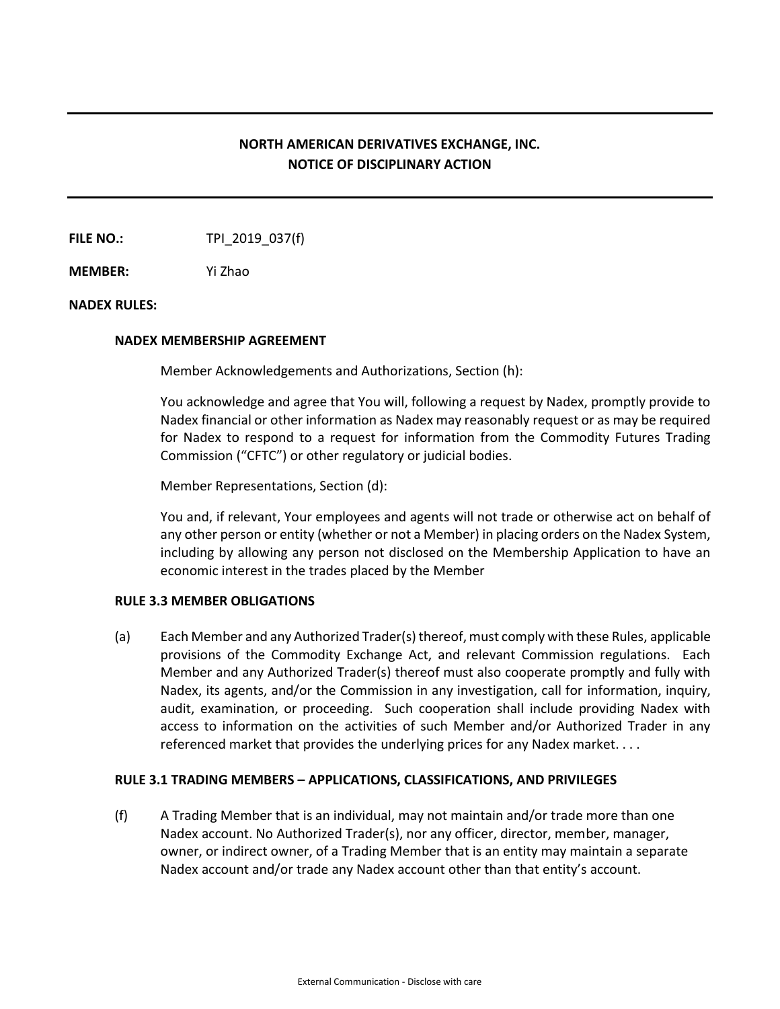# **NORTH AMERICAN DERIVATIVES EXCHANGE, INC. NOTICE OF DISCIPLINARY ACTION**

**FILE NO.:** TPI 2019 037(f)

**MEMBER:** Yi Zhao

## **NADEX RULES:**

#### **NADEX MEMBERSHIP AGREEMENT**

Member Acknowledgements and Authorizations, Section (h):

You acknowledge and agree that You will, following a request by Nadex, promptly provide to Nadex financial or other information as Nadex may reasonably request or as may be required for Nadex to respond to a request for information from the Commodity Futures Trading Commission ("CFTC") or other regulatory or judicial bodies.

Member Representations, Section (d):

You and, if relevant, Your employees and agents will not trade or otherwise act on behalf of any other person or entity (whether or not a Member) in placing orders on the Nadex System, including by allowing any person not disclosed on the Membership Application to have an economic interest in the trades placed by the Member

## **RULE 3.3 MEMBER OBLIGATIONS**

(a) Each Member and any Authorized Trader(s) thereof, must comply with these Rules, applicable provisions of the Commodity Exchange Act, and relevant Commission regulations. Each Member and any Authorized Trader(s) thereof must also cooperate promptly and fully with Nadex, its agents, and/or the Commission in any investigation, call for information, inquiry, audit, examination, or proceeding. Such cooperation shall include providing Nadex with access to information on the activities of such Member and/or Authorized Trader in any referenced market that provides the underlying prices for any Nadex market. . . .

## **RULE 3.1 TRADING MEMBERS – APPLICATIONS, CLASSIFICATIONS, AND PRIVILEGES**

(f) A Trading Member that is an individual, may not maintain and/or trade more than one Nadex account. No Authorized Trader(s), nor any officer, director, member, manager, owner, or indirect owner, of a Trading Member that is an entity may maintain a separate Nadex account and/or trade any Nadex account other than that entity's account.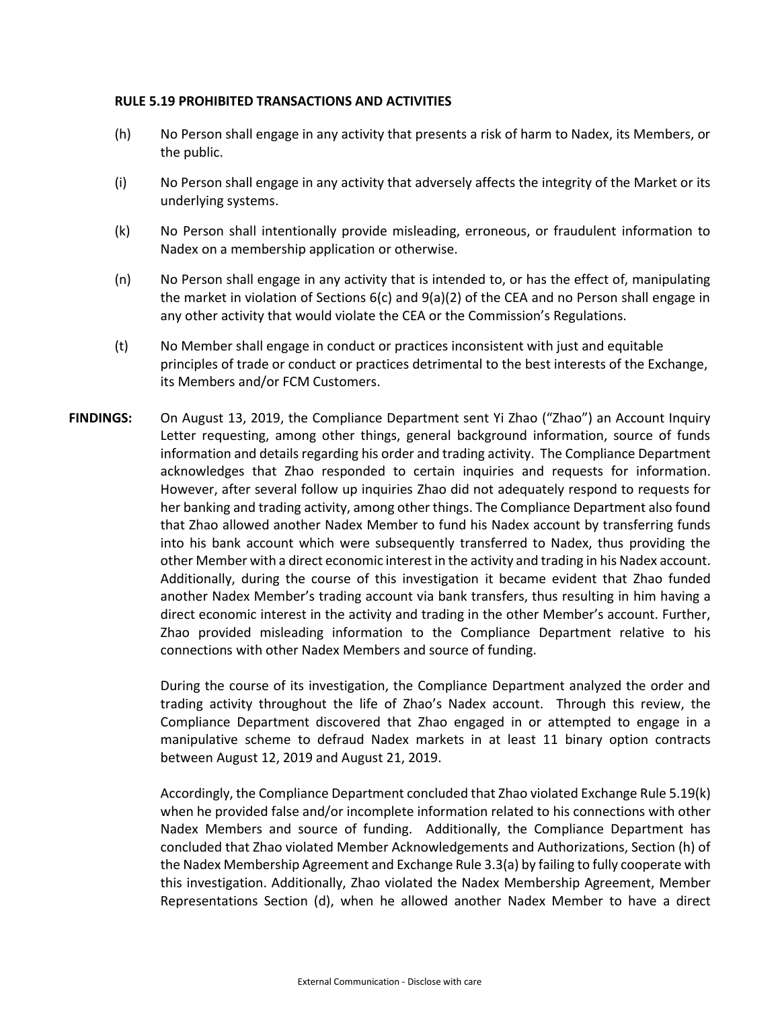## **RULE 5.19 PROHIBITED TRANSACTIONS AND ACTIVITIES**

- (h) No Person shall engage in any activity that presents a risk of harm to Nadex, its Members, or the public.
- (i) No Person shall engage in any activity that adversely affects the integrity of the Market or its underlying systems.
- (k) No Person shall intentionally provide misleading, erroneous, or fraudulent information to Nadex on a membership application or otherwise.
- (n) No Person shall engage in any activity that is intended to, or has the effect of, manipulating the market in violation of Sections 6(c) and 9(a)(2) of the CEA and no Person shall engage in any other activity that would violate the CEA or the Commission's Regulations.
- (t) No Member shall engage in conduct or practices inconsistent with just and equitable principles of trade or conduct or practices detrimental to the best interests of the Exchange, its Members and/or FCM Customers.
- **FINDINGS:** On August 13, 2019, the Compliance Department sent Yi Zhao ("Zhao") an Account Inquiry Letter requesting, among other things, general background information, source of funds information and details regarding his order and trading activity. The Compliance Department acknowledges that Zhao responded to certain inquiries and requests for information. However, after several follow up inquiries Zhao did not adequately respond to requests for her banking and trading activity, among other things. The Compliance Department also found that Zhao allowed another Nadex Member to fund his Nadex account by transferring funds into his bank account which were subsequently transferred to Nadex, thus providing the other Member with a direct economic interest in the activity and trading in his Nadex account. Additionally, during the course of this investigation it became evident that Zhao funded another Nadex Member's trading account via bank transfers, thus resulting in him having a direct economic interest in the activity and trading in the other Member's account. Further, Zhao provided misleading information to the Compliance Department relative to his connections with other Nadex Members and source of funding.

During the course of its investigation, the Compliance Department analyzed the order and trading activity throughout the life of Zhao's Nadex account. Through this review, the Compliance Department discovered that Zhao engaged in or attempted to engage in a manipulative scheme to defraud Nadex markets in at least 11 binary option contracts between August 12, 2019 and August 21, 2019.

Accordingly, the Compliance Department concluded that Zhao violated Exchange Rule 5.19(k) when he provided false and/or incomplete information related to his connections with other Nadex Members and source of funding. Additionally, the Compliance Department has concluded that Zhao violated Member Acknowledgements and Authorizations, Section (h) of the Nadex Membership Agreement and Exchange Rule 3.3(a) by failing to fully cooperate with this investigation. Additionally, Zhao violated the Nadex Membership Agreement, Member Representations Section (d), when he allowed another Nadex Member to have a direct